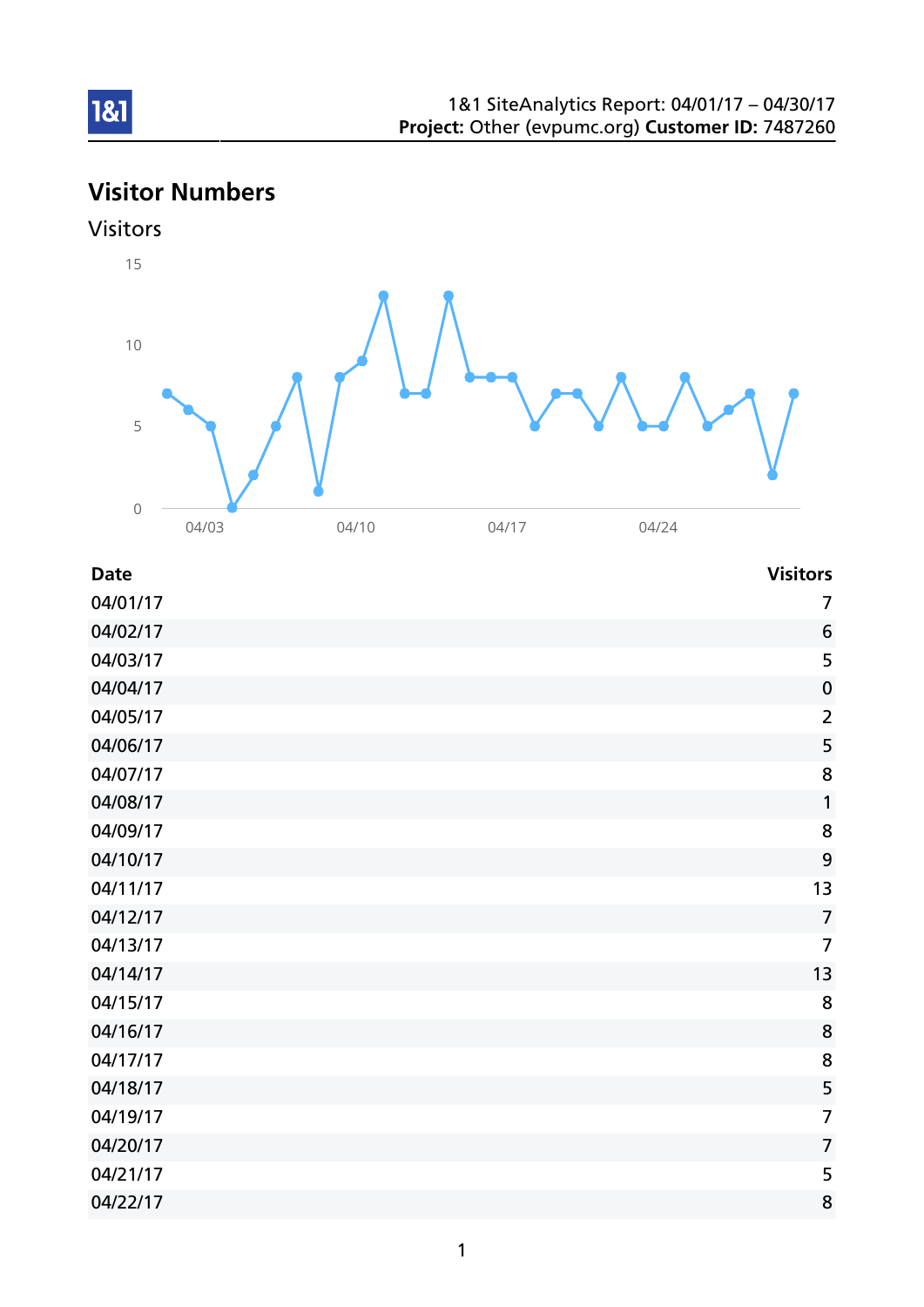# Visitor Numbers





| <b>Date</b> | <b>Visitors</b>  |
|-------------|------------------|
| 04/01/17    | $\overline{7}$   |
| 04/02/17    | 6                |
| 04/03/17    | 5                |
| 04/04/17    | $\boldsymbol{0}$ |
| 04/05/17    | $\overline{2}$   |
| 04/06/17    | 5                |
| 04/07/17    | 8                |
| 04/08/17    | 1                |
| 04/09/17    | 8                |
| 04/10/17    | 9                |
| 04/11/17    | 13               |
| 04/12/17    | $\overline{7}$   |
| 04/13/17    | $\overline{7}$   |
| 04/14/17    | 13               |
| 04/15/17    | 8                |
| 04/16/17    | 8                |
| 04/17/17    | 8                |
| 04/18/17    | 5                |
| 04/19/17    | $\overline{7}$   |
| 04/20/17    | $\overline{7}$   |
| 04/21/17    | 5                |
| 04/22/17    | 8                |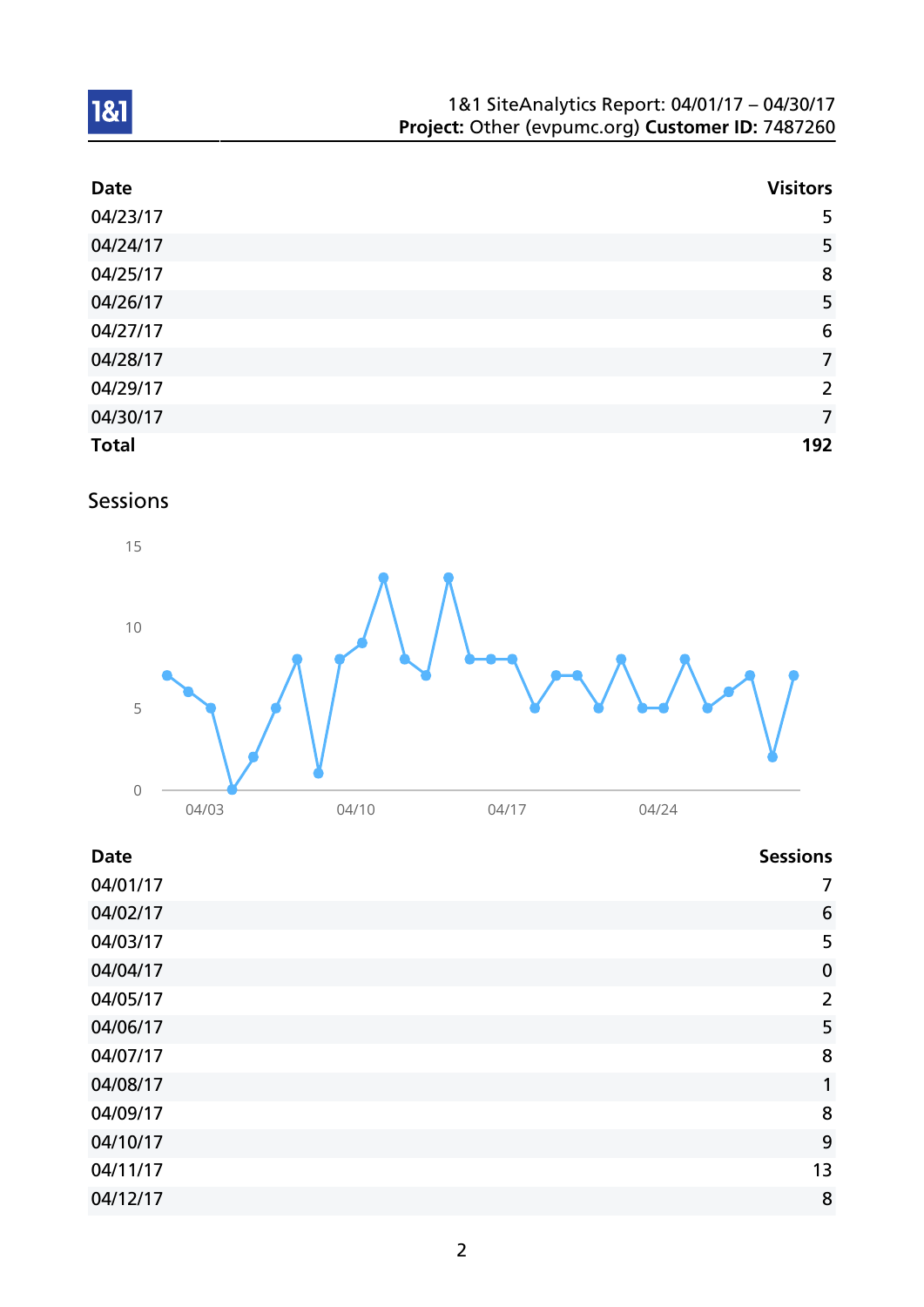| 1&1 SiteAnalytics Report: 04/01/17 - 04/30/17    |  |
|--------------------------------------------------|--|
| Project: Other (evpumc.org) Customer ID: 7487260 |  |

| <b>Date</b>  | <b>Visitors</b> |
|--------------|-----------------|
| 04/23/17     | 5               |
| 04/24/17     | 5               |
| 04/25/17     | 8               |
| 04/26/17     | 5               |
| 04/27/17     | $6\phantom{1}6$ |
| 04/28/17     | $\overline{7}$  |
| 04/29/17     | $\overline{2}$  |
| 04/30/17     | $\overline{7}$  |
| <b>Total</b> | 192             |

# Sessions



| <b>Date</b> | <b>Sessions</b> |
|-------------|-----------------|
| 04/01/17    | 7               |
| 04/02/17    | 6               |
| 04/03/17    | 5               |
| 04/04/17    | $\mathbf 0$     |
| 04/05/17    | $\overline{2}$  |
| 04/06/17    | 5               |
| 04/07/17    | 8               |
| 04/08/17    | 1               |
| 04/09/17    | 8               |
| 04/10/17    | 9               |
| 04/11/17    | 13              |
| 04/12/17    | 8               |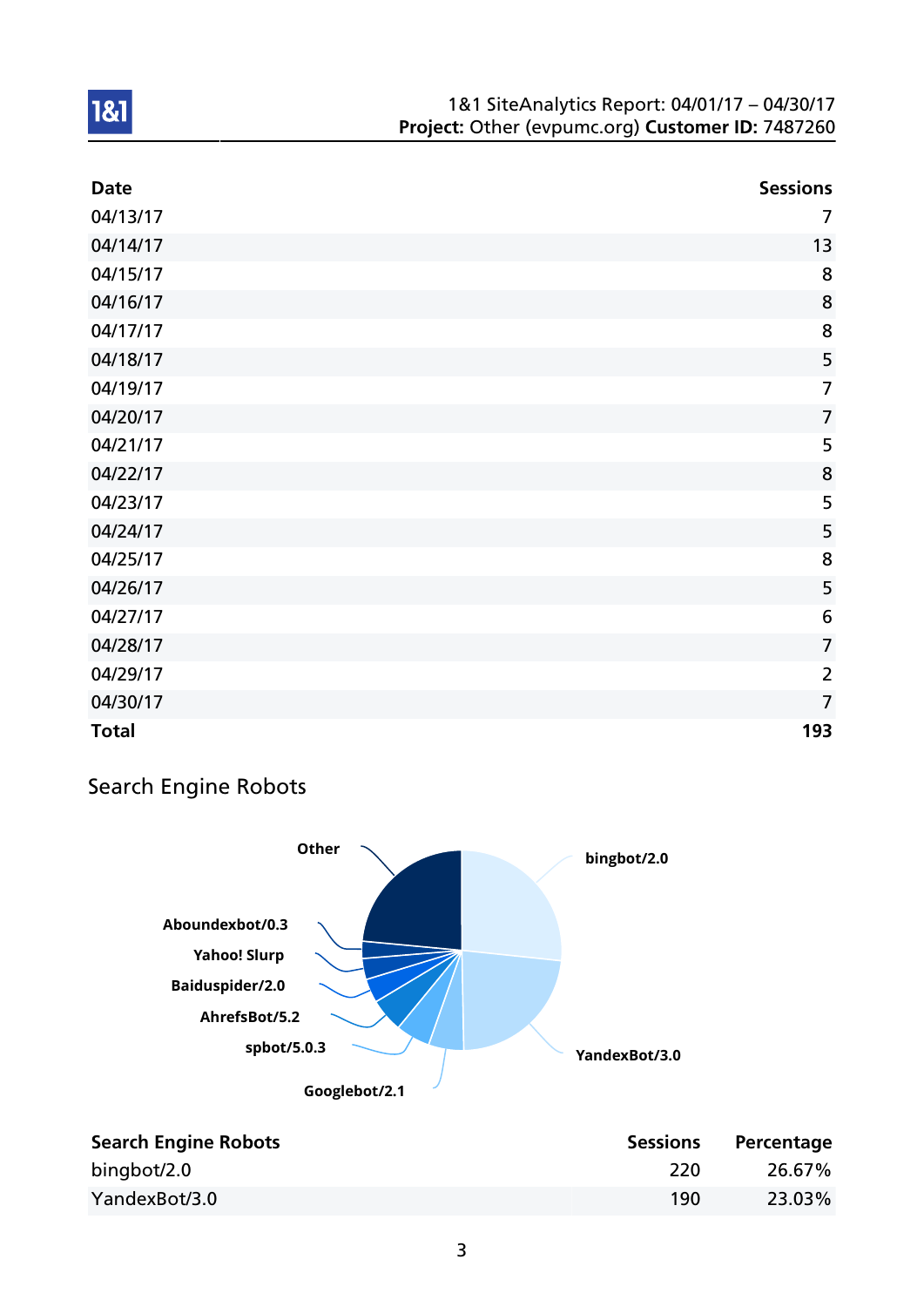#### 1&1 SiteAnalytics Report: 04/01/17 – 04/30/17 Project: Other (evpumc.org) Customer ID: 7487260

| <b>Date</b>  | <b>Sessions</b> |
|--------------|-----------------|
| 04/13/17     | $\overline{7}$  |
| 04/14/17     | 13              |
| 04/15/17     | 8               |
| 04/16/17     | 8               |
| 04/17/17     | 8               |
| 04/18/17     | 5               |
| 04/19/17     | $\overline{7}$  |
| 04/20/17     | $\overline{7}$  |
| 04/21/17     | 5               |
| 04/22/17     | 8               |
| 04/23/17     | 5               |
| 04/24/17     | 5               |
| 04/25/17     | 8               |
| 04/26/17     | 5               |
| 04/27/17     | $6\,$           |
| 04/28/17     | $\overline{7}$  |
| 04/29/17     | $\overline{2}$  |
| 04/30/17     | $\overline{7}$  |
| <b>Total</b> | 193             |

## Search Engine Robots



| <b>Search Engine Robots</b> | <b>Sessions</b> | Percentage |
|-----------------------------|-----------------|------------|
| bingbot/2.0                 | 220             | 26.67%     |
| YandexBot/3.0               | 190             | 23.03%     |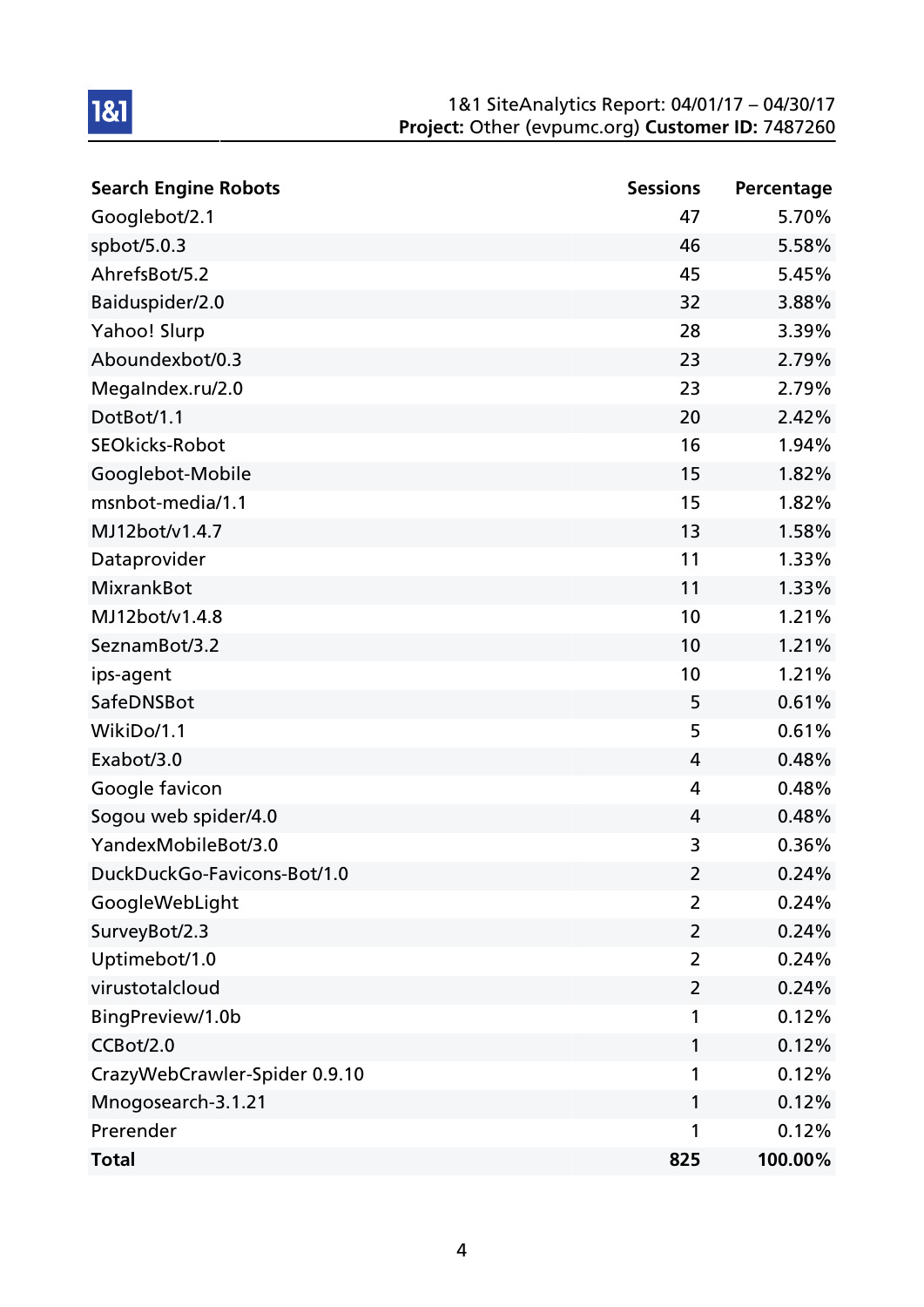#### 1&1 SiteAnalytics Report: 04/01/17 – 04/30/17 Project: Other (evpumc.org) Customer ID: 7487260

| <b>Search Engine Robots</b>   | <b>Sessions</b> | Percentage |
|-------------------------------|-----------------|------------|
| Googlebot/2.1                 | 47              | 5.70%      |
| spbot/5.0.3                   | 46              | 5.58%      |
| AhrefsBot/5.2                 | 45              | 5.45%      |
| Baiduspider/2.0               | 32              | 3.88%      |
| Yahoo! Slurp                  | 28              | 3.39%      |
| Aboundexbot/0.3               | 23              | 2.79%      |
| MegaIndex.ru/2.0              | 23              | 2.79%      |
| DotBot/1.1                    | 20              | 2.42%      |
| <b>SEOkicks-Robot</b>         | 16              | 1.94%      |
| Googlebot-Mobile              | 15              | 1.82%      |
| msnbot-media/1.1              | 15              | 1.82%      |
| MJ12bot/v1.4.7                | 13              | 1.58%      |
| Dataprovider                  | 11              | 1.33%      |
| <b>MixrankBot</b>             | 11              | 1.33%      |
| MJ12bot/v1.4.8                | 10              | 1.21%      |
| SeznamBot/3.2                 | 10              | 1.21%      |
| ips-agent                     | 10              | 1.21%      |
| SafeDNSBot                    | 5               | 0.61%      |
| WikiDo/1.1                    | 5               | 0.61%      |
| Exabot/3.0                    | 4               | 0.48%      |
| Google favicon                | 4               | 0.48%      |
| Sogou web spider/4.0          | 4               | 0.48%      |
| YandexMobileBot/3.0           | 3               | 0.36%      |
| DuckDuckGo-Favicons-Bot/1.0   | 2               | 0.24%      |
| GoogleWebLight                | $\overline{2}$  | 0.24%      |
| SurveyBot/2.3                 | $\overline{2}$  | 0.24%      |
| Uptimebot/1.0                 | $\overline{2}$  | 0.24%      |
| virustotalcloud               | $\overline{2}$  | 0.24%      |
| BingPreview/1.0b              | 1               | 0.12%      |
| CCBot/2.0                     | 1               | 0.12%      |
| CrazyWebCrawler-Spider 0.9.10 | 1               | 0.12%      |
| Mnogosearch-3.1.21            | 1               | 0.12%      |
| Prerender                     | 1               | 0.12%      |
| <b>Total</b>                  | 825             | 100.00%    |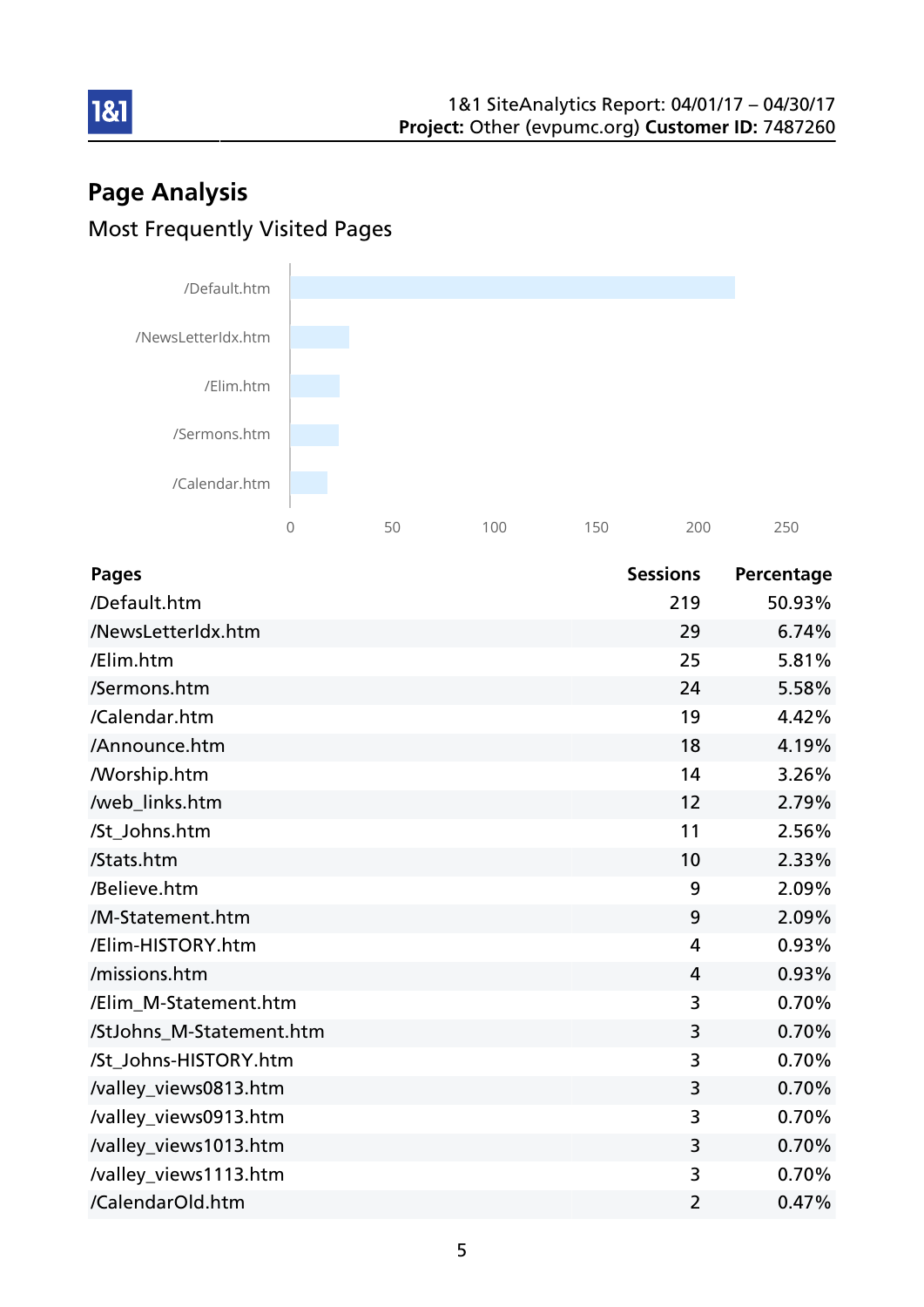# Page Analysis Most Frequently Visited Pages

181



| <b>Pages</b>             | <b>Sessions</b> | Percentage |
|--------------------------|-----------------|------------|
| /Default.htm             | 219             | 50.93%     |
| /NewsLetterIdx.htm       | 29              | 6.74%      |
| /Elim.htm                | 25              | 5.81%      |
| /Sermons.htm             | 24              | 5.58%      |
| /Calendar.htm            | 19              | 4.42%      |
| /Announce.htm            | 18              | 4.19%      |
| <b>Morship.htm</b>       | 14              | 3.26%      |
| /web_links.htm           | 12              | 2.79%      |
| /St_Johns.htm            | 11              | 2.56%      |
| /Stats.htm               | 10              | 2.33%      |
| /Believe.htm             | 9               | 2.09%      |
| /M-Statement.htm         | 9               | 2.09%      |
| /Elim-HISTORY.htm        | 4               | 0.93%      |
| /missions.htm            | 4               | 0.93%      |
| /Elim_M-Statement.htm    | 3               | 0.70%      |
| /StJohns_M-Statement.htm | 3               | 0.70%      |
| /St_Johns-HISTORY.htm    | 3               | 0.70%      |
| /valley_views0813.htm    | 3               | 0.70%      |
| /valley_views0913.htm    | 3               | 0.70%      |
| /valley_views1013.htm    | 3               | 0.70%      |
| /valley_views1113.htm    | 3               | 0.70%      |
| /CalendarOld.htm         | 2               | 0.47%      |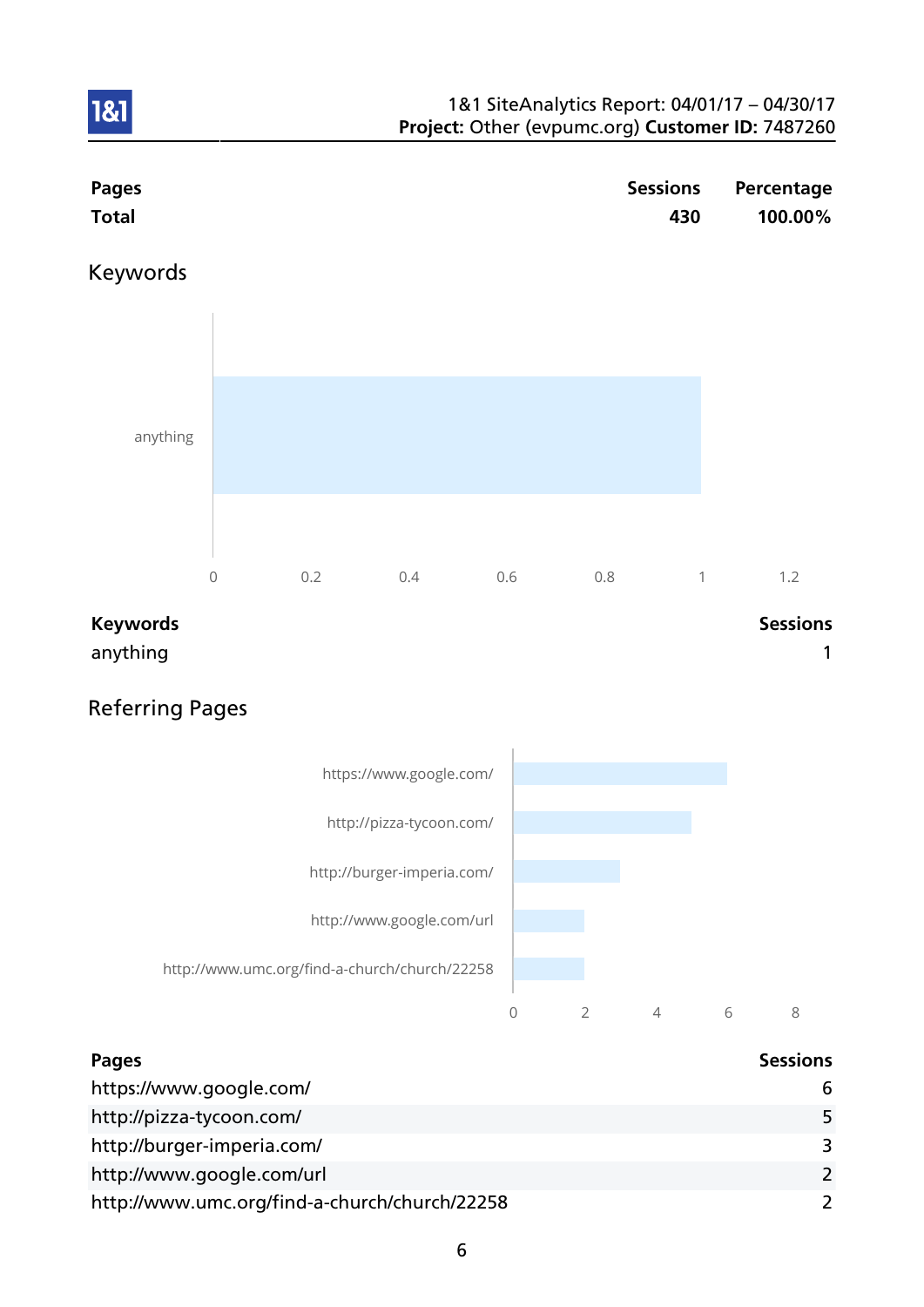

## Referring Pages



| <b>Pages</b>                                  | <b>Sessions</b> |
|-----------------------------------------------|-----------------|
| https://www.google.com/                       | 6               |
| http://pizza-tycoon.com/                      | 5               |
| http://burger-imperia.com/                    | 3               |
| http://www.google.com/url                     | $\mathcal{L}$   |
| http://www.umc.org/find-a-church/church/22258 | $\mathcal{L}$   |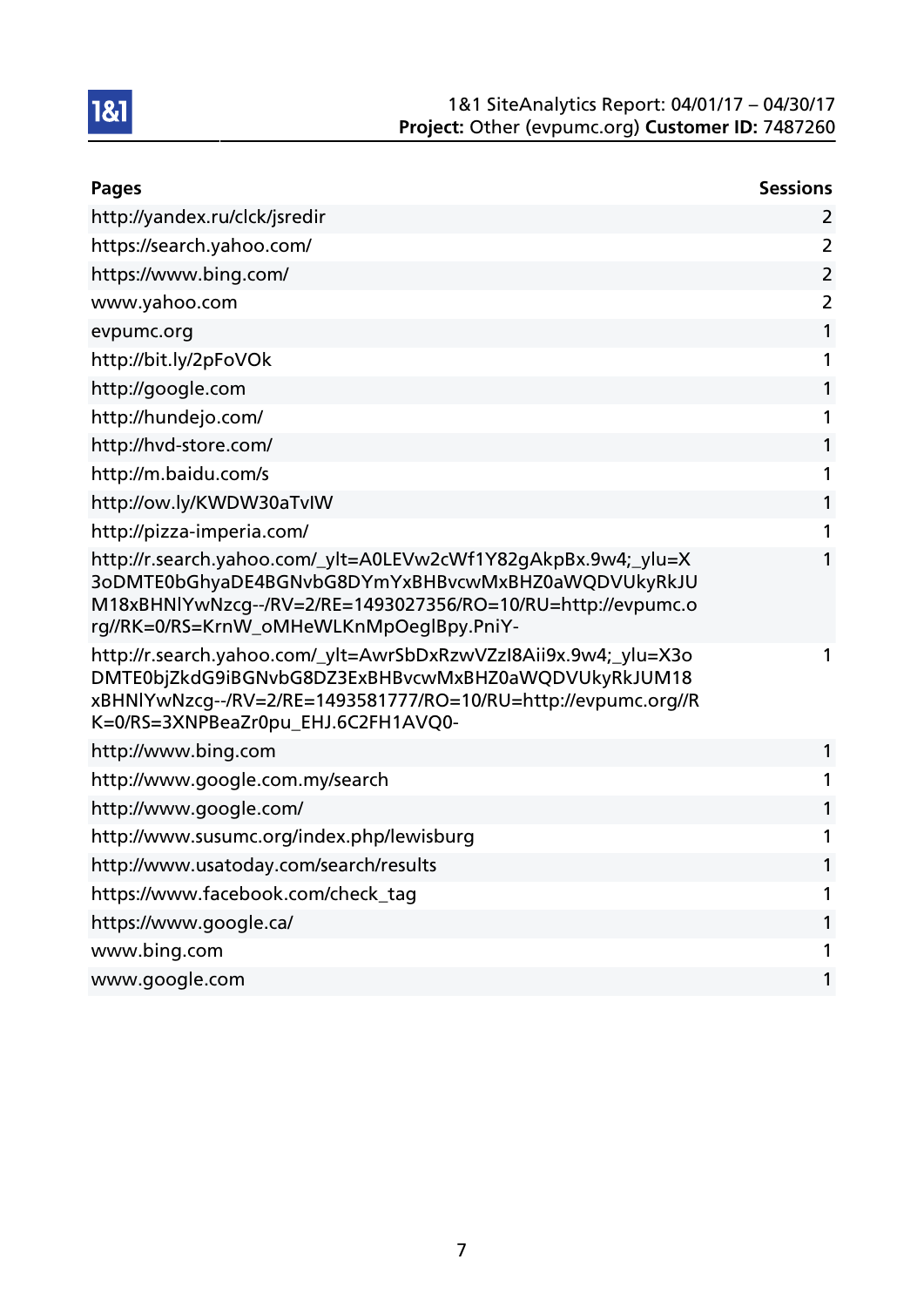

| <b>Pages</b>                                                                                                                                                                                                                      | <b>Sessions</b> |
|-----------------------------------------------------------------------------------------------------------------------------------------------------------------------------------------------------------------------------------|-----------------|
| http://yandex.ru/clck/jsredir                                                                                                                                                                                                     | $\overline{2}$  |
| https://search.yahoo.com/                                                                                                                                                                                                         | $\overline{2}$  |
| https://www.bing.com/                                                                                                                                                                                                             | $\overline{2}$  |
| www.yahoo.com                                                                                                                                                                                                                     | $\overline{2}$  |
| evpumc.org                                                                                                                                                                                                                        | 1               |
| http://bit.ly/2pFoVOk                                                                                                                                                                                                             | 1               |
| http://google.com                                                                                                                                                                                                                 | 1               |
| http://hundejo.com/                                                                                                                                                                                                               | 1               |
| http://hvd-store.com/                                                                                                                                                                                                             | 1               |
| http://m.baidu.com/s                                                                                                                                                                                                              | 1               |
| http://ow.ly/KWDW30aTvIW                                                                                                                                                                                                          | 1               |
| http://pizza-imperia.com/                                                                                                                                                                                                         | 1               |
| http://r.search.yahoo.com/_ylt=A0LEVw2cWf1Y82gAkpBx.9w4;_ylu=X<br>3oDMTE0bGhyaDE4BGNvbG8DYmYxBHBvcwMxBHZ0aWQDVUkyRkJU<br>M18xBHNlYwNzcg--/RV=2/RE=1493027356/RO=10/RU=http://evpumc.o<br>rg//RK=0/RS=KrnW_oMHeWLKnMpOeglBpy.PniY- | 1               |
| http://r.search.yahoo.com/_ylt=AwrSbDxRzwVZzI8Aii9x.9w4;_ylu=X3o<br>DMTE0bjZkdG9iBGNvbG8DZ3ExBHBvcwMxBHZ0aWQDVUkyRkJUM18<br>xBHNIYwNzcg--/RV=2/RE=1493581777/RO=10/RU=http://evpumc.org//R<br>K=0/RS=3XNPBeaZr0pu_EHJ.6C2FH1AVQ0- | 1               |
| http://www.bing.com                                                                                                                                                                                                               | 1               |
| http://www.google.com.my/search                                                                                                                                                                                                   | 1               |
| http://www.google.com/                                                                                                                                                                                                            | 1               |
| http://www.susumc.org/index.php/lewisburg                                                                                                                                                                                         | 1               |
| http://www.usatoday.com/search/results                                                                                                                                                                                            | 1               |
| https://www.facebook.com/check_tag                                                                                                                                                                                                | 1               |
| https://www.google.ca/                                                                                                                                                                                                            | 1               |
| www.bing.com                                                                                                                                                                                                                      | 1               |
| www.google.com                                                                                                                                                                                                                    | 1               |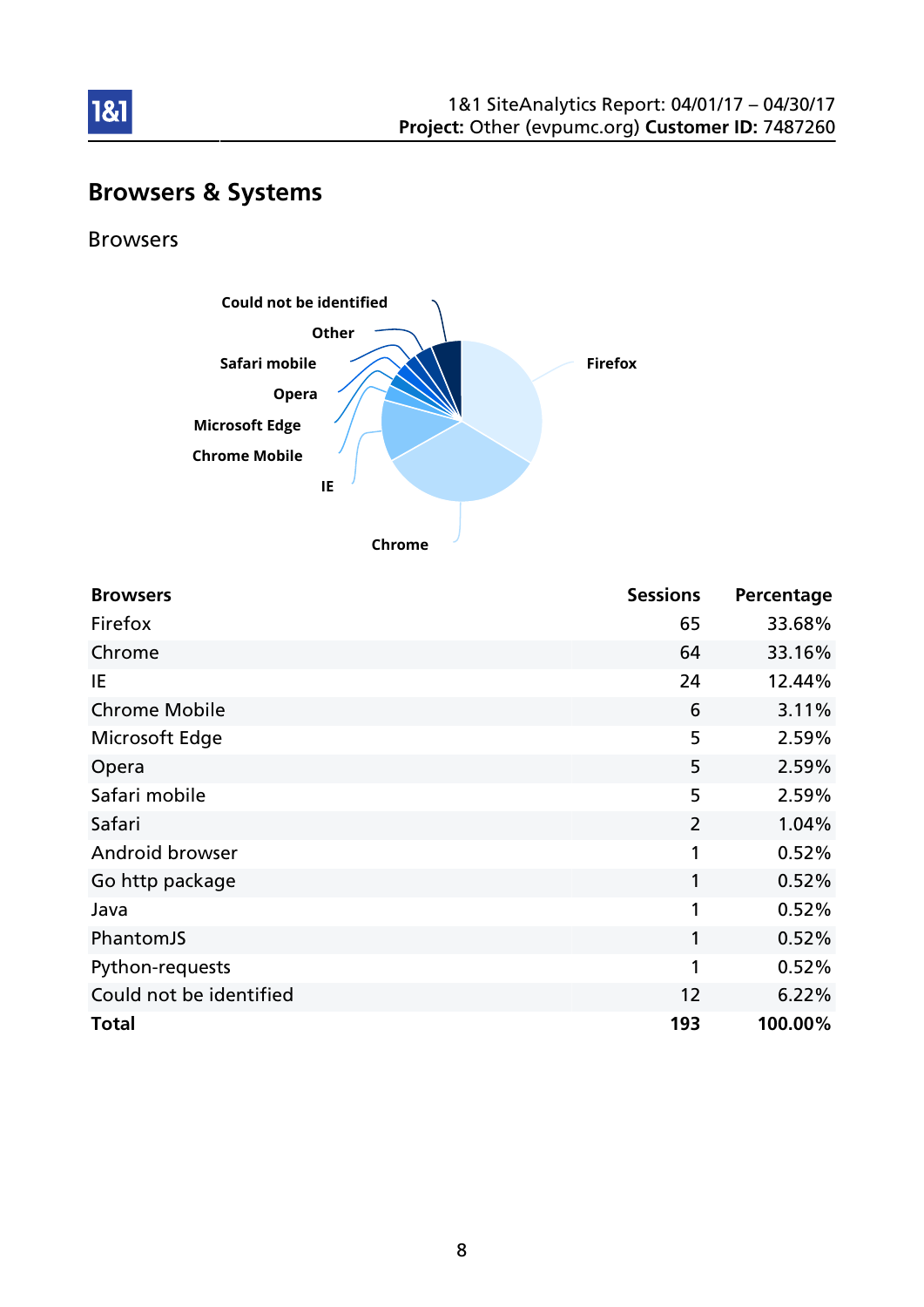

## Browsers & Systems

Browsers

1&1



**Chrome**

| <b>Browsers</b>         | <b>Sessions</b> | Percentage |
|-------------------------|-----------------|------------|
| Firefox                 | 65              | 33.68%     |
| Chrome                  | 64              | 33.16%     |
| IE                      | 24              | 12.44%     |
| <b>Chrome Mobile</b>    | 6               | 3.11%      |
| Microsoft Edge          | 5               | 2.59%      |
| Opera                   | 5               | 2.59%      |
| Safari mobile           | 5               | 2.59%      |
| Safari                  | $\overline{2}$  | 1.04%      |
| Android browser         | 1               | 0.52%      |
| Go http package         | 1               | 0.52%      |
| Java                    | 1               | 0.52%      |
| PhantomJS               | 1               | 0.52%      |
| Python-requests         | 1               | 0.52%      |
| Could not be identified | 12              | 6.22%      |
| <b>Total</b>            | 193             | 100.00%    |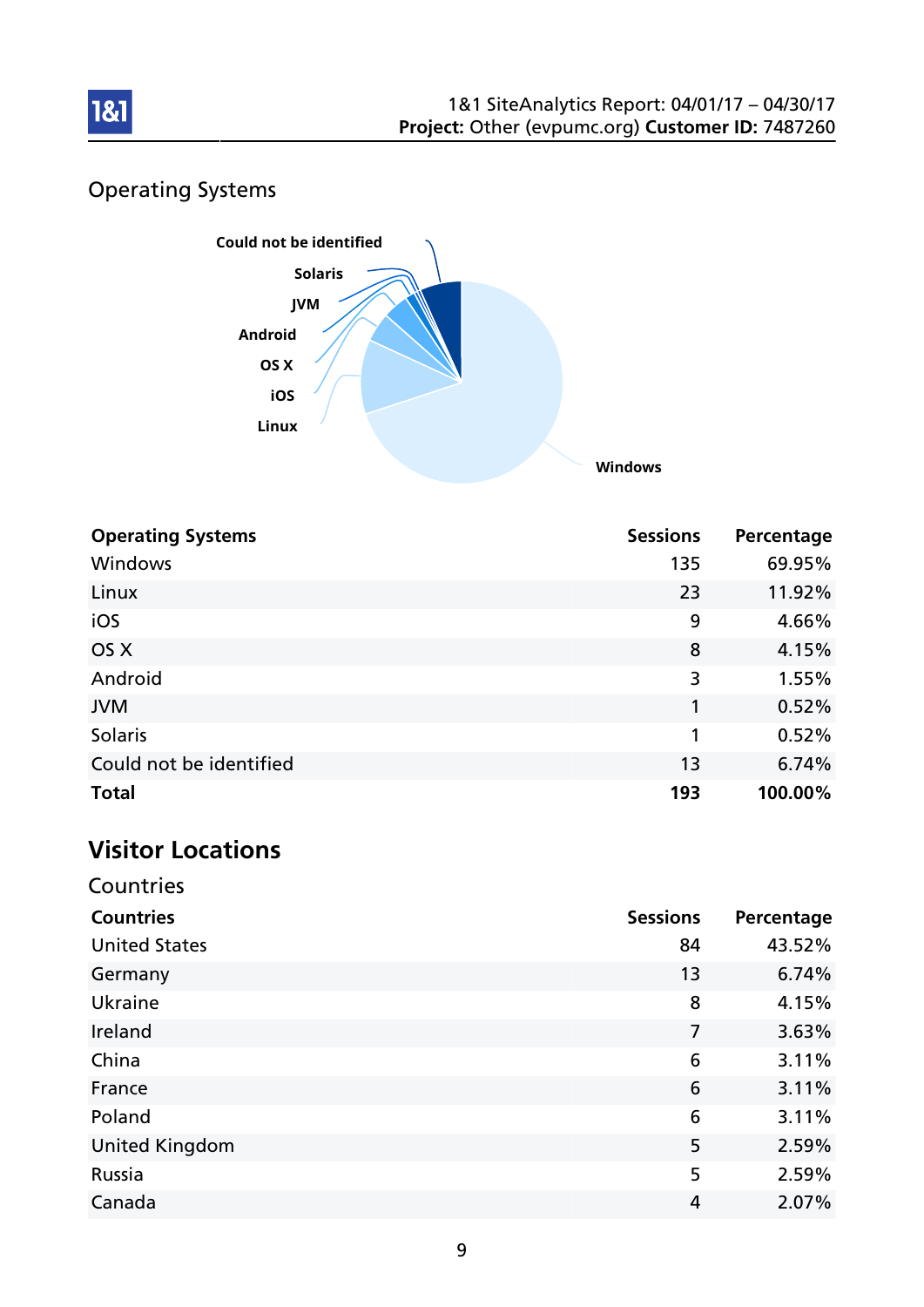

## Operating Systems



| <b>Operating Systems</b> | <b>Sessions</b> | Percentage |
|--------------------------|-----------------|------------|
| Windows                  | 135             | 69.95%     |
| Linux                    | 23              | 11.92%     |
| iOS                      | 9               | 4.66%      |
| OS X                     | 8               | 4.15%      |
| Android                  | 3               | 1.55%      |
| <b>JVM</b>               | 1               | 0.52%      |
| <b>Solaris</b>           | 1               | 0.52%      |
| Could not be identified  | 13              | 6.74%      |
| <b>Total</b>             | 193             | 100.00%    |

# Visitor Locations

| Countries             |                 |            |
|-----------------------|-----------------|------------|
| <b>Countries</b>      | <b>Sessions</b> | Percentage |
| <b>United States</b>  | 84              | 43.52%     |
| Germany               | 13              | 6.74%      |
| Ukraine               | 8               | 4.15%      |
| Ireland               | 7               | 3.63%      |
| China                 | 6               | 3.11%      |
| France                | 6               | 3.11%      |
| Poland                | 6               | 3.11%      |
| <b>United Kingdom</b> | 5               | 2.59%      |
| Russia                | 5               | 2.59%      |
| Canada                | 4               | 2.07%      |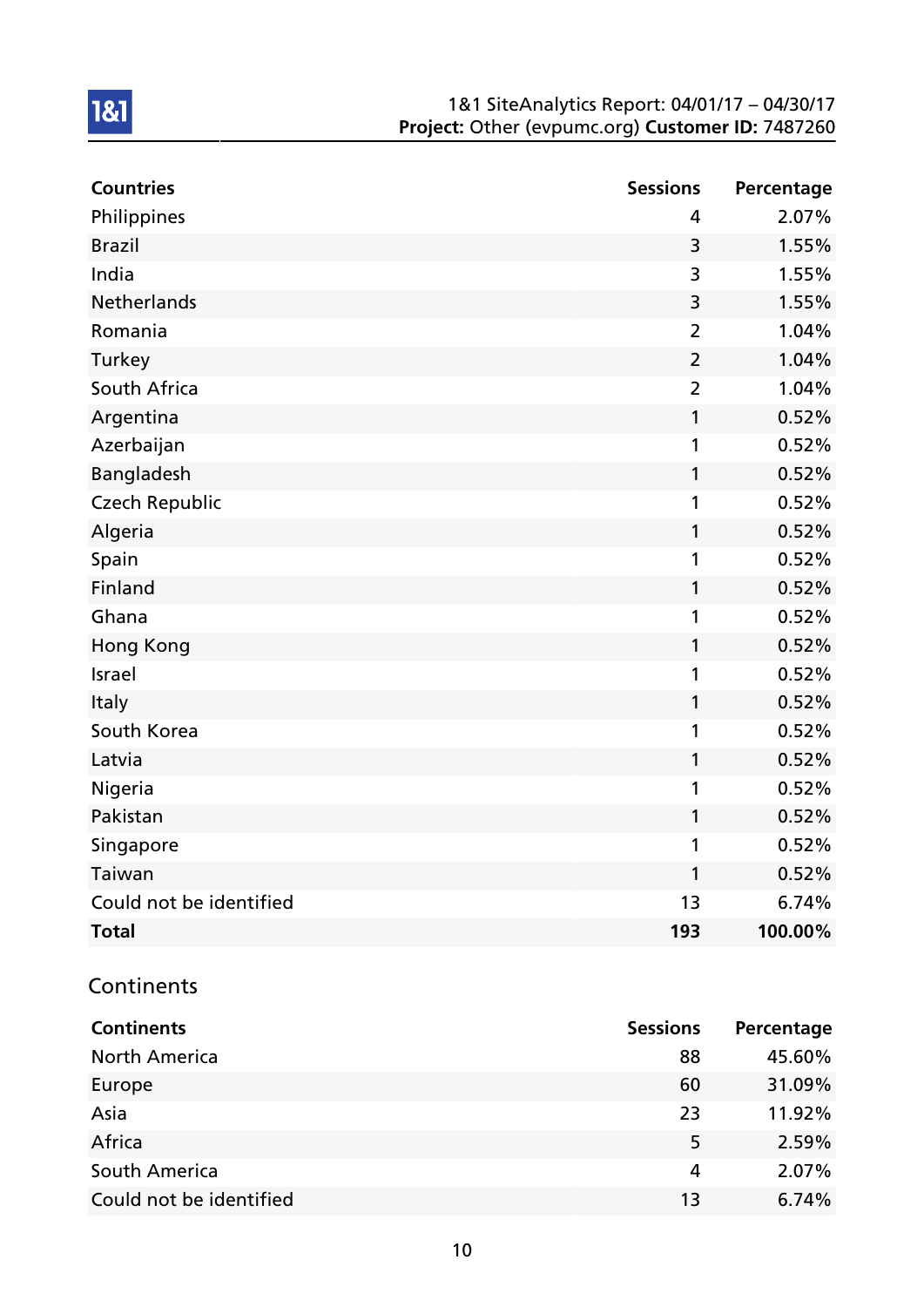#### 1&1 SiteAnalytics Report: 04/01/17 – 04/30/17 Project: Other (evpumc.org) Customer ID: 7487260

| <b>Countries</b>        | <b>Sessions</b> | Percentage |
|-------------------------|-----------------|------------|
| Philippines             | 4               | 2.07%      |
| <b>Brazil</b>           | 3               | 1.55%      |
| India                   | 3               | 1.55%      |
| <b>Netherlands</b>      | 3               | 1.55%      |
| Romania                 | $\overline{2}$  | 1.04%      |
| Turkey                  | $\overline{2}$  | 1.04%      |
| South Africa            | $\overline{2}$  | 1.04%      |
| Argentina               | 1               | 0.52%      |
| Azerbaijan              | 1               | 0.52%      |
| Bangladesh              | 1               | 0.52%      |
| <b>Czech Republic</b>   | 1               | 0.52%      |
| Algeria                 | 1               | 0.52%      |
| Spain                   | 1               | 0.52%      |
| Finland                 | $\mathbf{1}$    | 0.52%      |
| Ghana                   | 1               | 0.52%      |
| <b>Hong Kong</b>        | 1               | 0.52%      |
| Israel                  | 1               | 0.52%      |
| Italy                   | 1               | 0.52%      |
| South Korea             | 1               | 0.52%      |
| Latvia                  | 1               | 0.52%      |
| Nigeria                 | 1               | 0.52%      |
| Pakistan                | 1               | 0.52%      |
| Singapore               | 1               | 0.52%      |
| Taiwan                  | 1               | 0.52%      |
| Could not be identified | 1 <sub>3</sub>  | 6.74%      |
| <b>Total</b>            | 193             | 100.00%    |

## **Continents**

| <b>Continents</b>       | <b>Sessions</b> | Percentage |
|-------------------------|-----------------|------------|
| <b>North America</b>    | 88              | 45.60%     |
| Europe                  | 60              | 31.09%     |
| Asia                    | 23              | 11.92%     |
| Africa                  | 5               | 2.59%      |
| South America           | 4               | 2.07%      |
| Could not be identified | 13              | 6.74%      |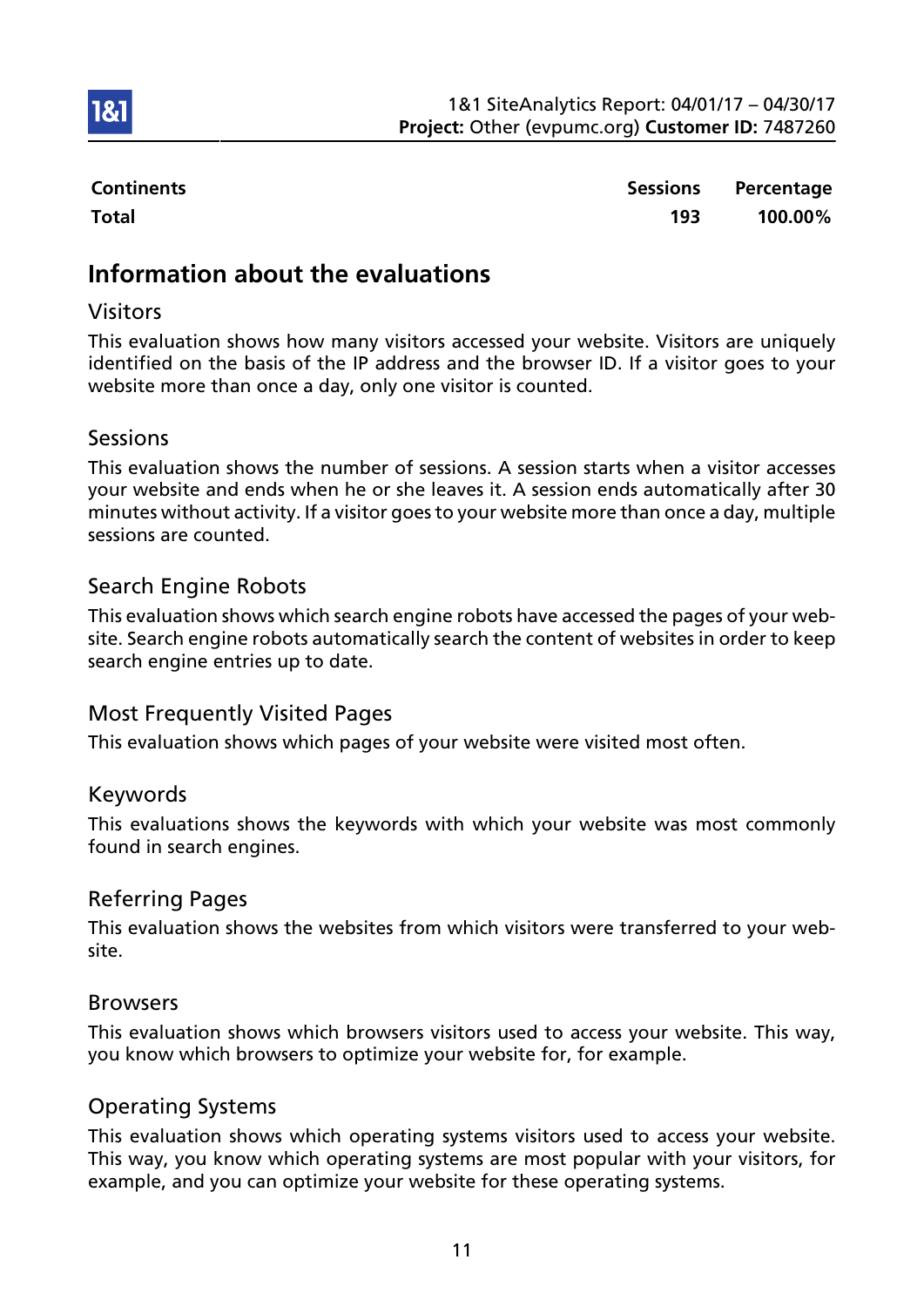

**1&1** 

Continents **Sessions** Percentage Total 193 100.00%

## Information about the evaluations

## Visitors

This evaluation shows how many visitors accessed your website. Visitors are uniquely identified on the basis of the IP address and the browser ID. If a visitor goes to your website more than once a day, only one visitor is counted.

#### Sessions

This evaluation shows the number of sessions. A session starts when a visitor accesses your website and ends when he or she leaves it. A session ends automatically after 30 minutes without activity. If a visitor goes to your website more than once a day, multiple sessions are counted.

## Search Engine Robots

This evaluation shows which search engine robots have accessed the pages of your website. Search engine robots automatically search the content of websites in order to keep search engine entries up to date.

## Most Frequently Visited Pages

This evaluation shows which pages of your website were visited most often.

## Keywords

This evaluations shows the keywords with which your website was most commonly found in search engines.

## Referring Pages

This evaluation shows the websites from which visitors were transferred to your website.

#### Browsers

This evaluation shows which browsers visitors used to access your website. This way, you know which browsers to optimize your website for, for example.

## Operating Systems

This evaluation shows which operating systems visitors used to access your website. This way, you know which operating systems are most popular with your visitors, for example, and you can optimize your website for these operating systems.